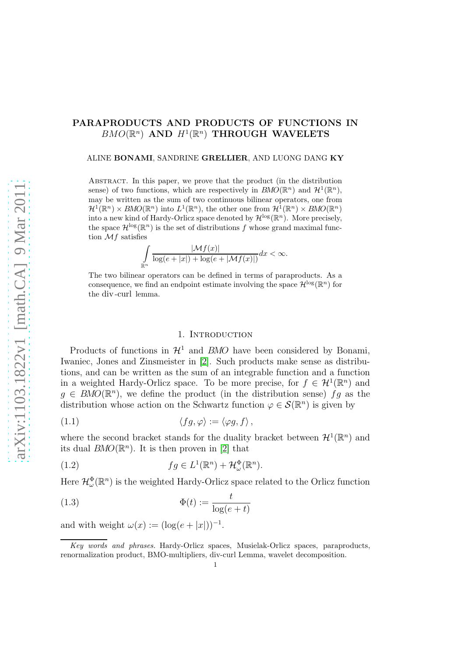# PARAPRODUCTS AND PRODUCTS OF FUNCTIONS IN  $BMO(\mathbb{R}^n)$  AND  $H^1(\mathbb{R}^n)$  THROUGH WAVELETS

#### ALINE BONAMI, SANDRINE GRELLIER, AND LUONG DANG KY

Abstract. In this paper, we prove that the product (in the distribution sense) of two functions, which are respectively in  $BMO(\mathbb{R}^n)$  and  $\mathcal{H}^1(\mathbb{R}^n)$ , may be written as the sum of two continuous bilinear operators, one from  $\mathcal{H}^1(\mathbb{R}^n)\times BMO(\mathbb{R}^n)$  into  $L^1(\mathbb{R}^n)$ , the other one from  $\mathcal{H}^1(\mathbb{R}^n)\times BMO(\mathbb{R}^n)$ into a new kind of Hardy-Orlicz space denoted by  $\mathcal{H}^{\log}(\mathbb{R}^n)$ . More precisely, the space  $\mathcal{H}^{\log}(\mathbb{R}^n)$  is the set of distributions f whose grand maximal function  $\mathcal{M}$  f satisfies

$$
\int\limits_{\mathbb{R}^n} \frac{|\mathcal{M}f(x)|}{\log(e+|x|) + \log(e+|\mathcal{M}f(x)|)} dx < \infty.
$$

The two bilinear operators can be defined in terms of paraproducts. As a consequence, we find an endpoint estimate involving the space  $\mathcal{H}^{\log}(\mathbb{R}^n)$  for the div -curl lemma.

### 1. INTRODUCTION

Products of functions in  $\mathcal{H}^1$  and BMO have been considered by Bonami, Iwaniec, Jones and Zinsmeister in [\[2\]](#page-15-0). Such products make sense as distributions, and can be written as the sum of an integrable function and a function in a weighted Hardy-Orlicz space. To be more precise, for  $f \in \mathcal{H}^1(\mathbb{R}^n)$  and  $g \in BMO(\mathbb{R}^n)$ , we define the product (in the distribution sense)  $fg$  as the distribution whose action on the Schwartz function  $\varphi \in \mathcal{S}(\mathbb{R}^n)$  is given by

$$
(1.1) \t\t \langle fg, \varphi \rangle := \langle \varphi g, f \rangle,
$$

where the second bracket stands for the duality bracket between  $\mathcal{H}^1(\mathbb{R}^n)$  and its dual  $BMO(\mathbb{R}^n)$ . It is then proven in [\[2\]](#page-15-0) that

(1.2) 
$$
fg \in L^1(\mathbb{R}^n) + \mathcal{H}^{\Phi}_{\omega}(\mathbb{R}^n).
$$

Here  $\mathcal{H}^{\Phi}_{\omega}(\mathbb{R}^n)$  is the weighted Hardy-Orlicz space related to the Orlicz function

(1.3) 
$$
\Phi(t) := \frac{t}{\log(e+t)}
$$

and with weight  $\omega(x) := (\log(e+|x|))^{-1}$ .

Key words and phrases. Hardy-Orlicz spaces, Musielak-Orlicz spaces, paraproducts, renormalization product, BMO-multipliers, div-curl Lemma, wavelet decomposition.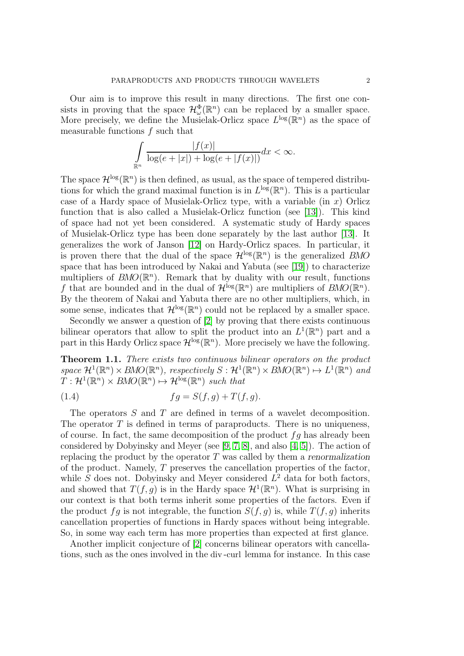Our aim is to improve this result in many directions. The first one consists in proving that the space  $\mathcal{H}^{\Phi}_{\omega}(\mathbb{R}^n)$  can be replaced by a smaller space. More precisely, we define the Musielak-Orlicz space  $L^{\log}(\mathbb{R}^n)$  as the space of measurable functions  $f$  such that

$$
\int_{\mathbb{R}^n} \frac{|f(x)|}{\log(e+|x|) + \log(e+|f(x)|)} dx < \infty.
$$

The space  $\mathcal{H}^{\log}(\mathbb{R}^n)$  is then defined, as usual, as the space of tempered distributions for which the grand maximal function is in  $L^{\log}(\mathbb{R}^n)$ . This is a particular case of a Hardy space of Musielak-Orlicz type, with a variable  $(in x)$  Orlicz function that is also called a Musielak-Orlicz function (see [\[13\]](#page-15-1)). This kind of space had not yet been considered. A systematic study of Hardy spaces of Musielak-Orlicz type has been done separately by the last author [\[13\]](#page-15-1). It generalizes the work of Janson [\[12\]](#page-15-2) on Hardy-Orlicz spaces. In particular, it is proven there that the dual of the space  $\mathcal{H}^{\log}(\mathbb{R}^n)$  is the generalized BMO space that has been introduced by Nakai and Yabuta (see [\[19\]](#page-16-0)) to characterize multipliers of  $BMO(\mathbb{R}^n)$ . Remark that by duality with our result, functions f that are bounded and in the dual of  $\mathcal{H}^{\log}(\mathbb{R}^n)$  are multipliers of  $BMO(\mathbb{R}^n)$ . By the theorem of Nakai and Yabuta there are no other multipliers, which, in some sense, indicates that  $\mathcal{H}^{\log}(\mathbb{R}^n)$  could not be replaced by a smaller space.

Secondly we answer a question of [\[2\]](#page-15-0) by proving that there exists continuous bilinear operators that allow to split the product into an  $L^1(\mathbb{R}^n)$  part and a part in this Hardy Orlicz space  $\mathcal{H}^{\log}(\mathbb{R}^n)$ . More precisely we have the following.

<span id="page-1-0"></span>Theorem 1.1. There exists two continuous bilinear operators on the product space  $\mathcal{H}^1(\mathbb{R}^n) \times BMO(\mathbb{R}^n)$ , respectively  $S: \mathcal{H}^1(\mathbb{R}^n) \times BMO(\mathbb{R}^n) \mapsto L^1(\mathbb{R}^n)$  and  $T: \mathcal{H}^1(\mathbb{R}^n) \times \text{BMO}(\mathbb{R}^n) \mapsto \mathcal{H}^{\log}(\mathbb{R}^n)$  such that

$$
(1.4) \t\t fg = S(f,g) + T(f,g).
$$

The operators S and T are defined in terms of a wavelet decomposition. The operator  $T$  is defined in terms of paraproducts. There is no uniqueness, of course. In fact, the same decomposition of the product  $fg$  has already been considered by Dobyinsky and Meyer (see [\[9,](#page-15-3) [7,](#page-15-4) [8\]](#page-15-5), and also [\[4,](#page-15-6) [5\]](#page-15-7)). The action of replacing the product by the operator  $T$  was called by them a renormalization of the product. Namely, T preserves the cancellation properties of the factor, while  $S$  does not. Dobyinsky and Meyer considered  $L^2$  data for both factors, and showed that  $T(f, g)$  is in the Hardy space  $\mathcal{H}^1(\mathbb{R}^n)$ . What is surprising in our context is that both terms inherit some properties of the factors. Even if the product fg is not integrable, the function  $S(f, g)$  is, while  $T(f, g)$  inherits cancellation properties of functions in Hardy spaces without being integrable. So, in some way each term has more properties than expected at first glance.

Another implicit conjecture of [\[2\]](#page-15-0) concerns bilinear operators with cancellations, such as the ones involved in the div -curl lemma for instance. In this case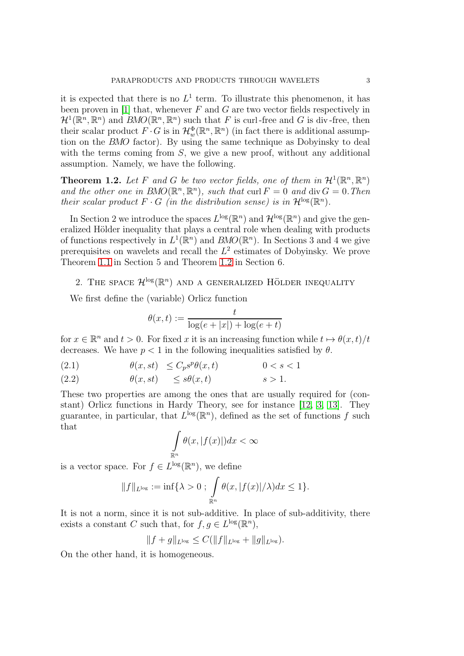it is expected that there is no  $L^1$  term. To illustrate this phenomenon, it has been proven in [\[1\]](#page-15-8) that, whenever  $F$  and  $G$  are two vector fields respectively in  $\mathcal{H}^1(\mathbb{R}^n,\mathbb{R}^n)$  and  $BMO(\mathbb{R}^n,\mathbb{R}^n)$  such that F is curl-free and G is div-free, then their scalar product  $F \cdot G$  is in  $\mathcal{H}_w^{\Phi}(\mathbb{R}^n, \mathbb{R}^n)$  (in fact there is additional assumption on the BMO factor). By using the same technique as Dobyinsky to deal with the terms coming from  $S$ , we give a new proof, without any additional assumption. Namely, we have the following.

<span id="page-2-0"></span>**Theorem 1.2.** Let F and G be two vector fields, one of them in  $\mathcal{H}^1(\mathbb{R}^n, \mathbb{R}^n)$ and the other one in  $BMO(\mathbb{R}^n, \mathbb{R}^n)$ , such that curl  $F = 0$  and div  $G = 0$ . Then their scalar product  $F \cdot G$  (in the distribution sense) is in  $\mathcal{H}^{\log}(\mathbb{R}^n)$ .

In Section 2 we introduce the spaces  $L^{\log}(\mathbb{R}^n)$  and  $\mathcal{H}^{\log}(\mathbb{R}^n)$  and give the generalized Hölder inequality that plays a central role when dealing with products of functions respectively in  $L^1(\mathbb{R}^n)$  and  $BMO(\mathbb{R}^n)$ . In Sections 3 and 4 we give prerequisites on wavelets and recall the  $L^2$  estimates of Dobyinsky. We prove Theorem [1.1](#page-1-0) in Section 5 and Theorem [1.2](#page-2-0) in Section 6.

# 2. THE SPACE  $\mathcal{H}^{\log}(\mathbb{R}^n)$  and a generalized Hölder inequality

We first define the (variable) Orlicz function

<span id="page-2-1"></span>
$$
\theta(x,t) := \frac{t}{\log(e+|x|) + \log(e+t)}
$$

for  $x \in \mathbb{R}^n$  and  $t > 0$ . For fixed x it is an increasing function while  $t \mapsto \theta(x, t)/t$ decreases. We have  $p < 1$  in the following inequalities satisfied by  $\theta$ .

(2.1) 
$$
\theta(x, st) \le C_p s^p \theta(x, t) \qquad 0 < s < 1
$$

(2.2) θ(x, st) ≤ sθ(x, t) s > 1.

These two properties are among the ones that are usually required for (constant) Orlicz functions in Hardy Theory, see for instance [\[12,](#page-15-2) [3,](#page-15-9) [13\]](#page-15-1). They guarantee, in particular, that  $L^{\log}(\mathbb{R}^n)$ , defined as the set of functions f such that

$$
\int_{\mathbb{R}^n} \theta(x, |f(x)|) dx < \infty
$$

is a vector space. For  $f \in L^{\log}(\mathbb{R}^n)$ , we define

$$
||f||_{L^{\log}} := \inf \{ \lambda > 0 : \int_{\mathbb{R}^n} \theta(x, |f(x)|/\lambda) dx \le 1 \}.
$$

It is not a norm, since it is not sub-additive. In place of sub-additivity, there exists a constant C such that, for  $f, g \in L^{\log}(\mathbb{R}^n)$ ,

$$
||f+g||_{L^{\log}} \leq C(||f||_{L^{\log}} + ||g||_{L^{\log}}).
$$

On the other hand, it is homogeneous.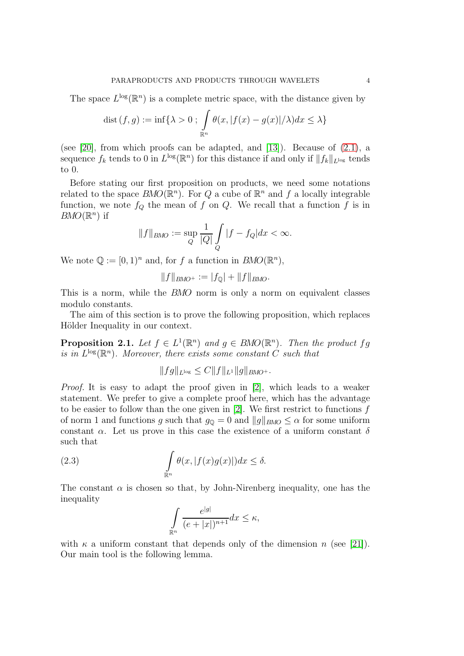The space  $L^{\log}(\mathbb{R}^n)$  is a complete metric space, with the distance given by

$$
\text{dist}(f,g) := \inf \{ \lambda > 0 : \int_{\mathbb{R}^n} \theta(x, |f(x) - g(x)|/\lambda) dx \le \lambda \}
$$

(see [\[20\]](#page-16-1), from which proofs can be adapted, and [\[13\]](#page-15-1)). Because of [\(2.1\)](#page-2-1), a sequence  $f_k$  tends to 0 in  $L^{\log}(\mathbb{R}^n)$  for this distance if and only if  $||f_k||_{L^{\log}}$  tends to 0.

Before stating our first proposition on products, we need some notations related to the space  $BMO(\mathbb{R}^n)$ . For Q a cube of  $\mathbb{R}^n$  and f a locally integrable function, we note  $f_Q$  the mean of f on Q. We recall that a function f is in  $BMO(\mathbb{R}^n)$  if

$$
||f||_{BMO} := \sup_{Q} \frac{1}{|Q|} \int_{Q} |f - f_Q| dx < \infty.
$$

We note  $\mathbb{Q} := [0,1)^n$  and, for f a function in  $BMO(\mathbb{R}^n)$ ,

$$
||f||_{BMO^+} := |f_{\mathbb{Q}}| + ||f||_{BMO}.
$$

This is a norm, while the BMO norm is only a norm on equivalent classes modulo constants.

The aim of this section is to prove the following proposition, which replaces Hölder Inequality in our context.

<span id="page-3-1"></span>**Proposition 2.1.** Let  $f \in L^1(\mathbb{R}^n)$  and  $g \in BMO(\mathbb{R}^n)$ . Then the product fg is in  $L^{\log}(\mathbb{R}^n)$ . Moreover, there exists some constant C such that

$$
||fg||_{L^{\log}} \leq C||f||_{L^1}||g||_{BMO^+}.
$$

Proof. It is easy to adapt the proof given in [\[2\]](#page-15-0), which leads to a weaker statement. We prefer to give a complete proof here, which has the advantage to be easier to follow than the one given in  $[2]$ . We first restrict to functions f of norm 1 and functions g such that  $g_{\mathbb{Q}} = 0$  and  $||g||_{BMO} \leq \alpha$  for some uniform constant  $\alpha$ . Let us prove in this case the existence of a uniform constant  $\delta$ such that

(2.3) 
$$
\int_{\mathbb{R}^n} \theta(x, |f(x)g(x)|) dx \leq \delta.
$$

The constant  $\alpha$  is chosen so that, by John-Nirenberg inequality, one has the inequality

<span id="page-3-0"></span>
$$
\int_{\mathbb{R}^n} \frac{e^{|g|}}{(e+|x|)^{n+1}} dx \le \kappa,
$$

with  $\kappa$  a uniform constant that depends only of the dimension n (see [\[21\]](#page-16-2)). Our main tool is the following lemma.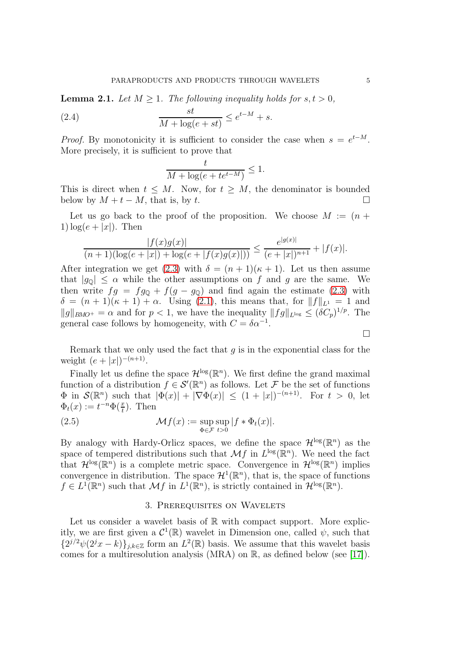**Lemma 2.1.** Let  $M > 1$ . The following inequality holds for  $s, t > 0$ ,

(2.4) 
$$
\frac{st}{M + \log(e + st)} \leq e^{t-M} + s.
$$

*Proof.* By monotonicity it is sufficient to consider the case when  $s = e^{t-M}$ . More precisely, it is sufficient to prove that

$$
\frac{t}{M + \log(e + te^{t-M})} \le 1.
$$

This is direct when  $t \leq M$ . Now, for  $t \geq M$ , the denominator is bounded below by  $M + t - M$ , that is, by t.

Let us go back to the proof of the proposition. We choose  $M := (n +$ 1)  $\log(e+|x|)$ . Then

$$
\frac{|f(x)g(x)|}{(n+1)(\log(e+|x|)+\log(e+|f(x)g(x)|))} \le \frac{e^{|g(x)|}}{(e+|x|)^{n+1}}+|f(x)|.
$$

After integration we get [\(2.3\)](#page-3-0) with  $\delta = (n+1)(\kappa+1)$ . Let us then assume that  $|g_0| \leq \alpha$  while the other assumptions on f and g are the same. We then write  $fg = fg_0 + f(g - g_0)$  and find again the estimate [\(2.3\)](#page-3-0) with  $\delta = (n+1)(\kappa+1) + \alpha$ . Using [\(2.1\)](#page-2-1), this means that, for  $||f||_{L^1} = 1$  and  $||g||_{BMO^+} = \alpha$  and for  $p < 1$ , we have the inequality  $||fg||_{L^{log}} \leq (\delta C_p)^{1/p}$ . The general case follows by homogeneity, with  $C = \delta \alpha^{-1}$ .

Remark that we only used the fact that  $q$  is in the exponential class for the weight  $(e+|x|)^{-(n+1)}$ .

Finally let us define the space  $\mathcal{H}^{\log}(\mathbb{R}^n)$ . We first define the grand maximal function of a distribution  $f \in \mathcal{S}'(\mathbb{R}^n)$  as follows. Let F be the set of functions  $\Phi$  in  $\mathcal{S}(\mathbb{R}^n)$  such that  $|\Phi(x)| + |\nabla \Phi(x)| \leq (1+|x|)^{-(n+1)}$ . For  $t > 0$ , let  $\Phi_t(x) := t^{-n} \Phi(\frac{x}{t}).$  Then

(2.5) 
$$
\mathcal{M}f(x) := \sup_{\Phi \in \mathcal{F}} \sup_{t>0} |f * \Phi_t(x)|.
$$

By analogy with Hardy-Orlicz spaces, we define the space  $\mathcal{H}^{\log}(\mathbb{R}^n)$  as the space of tempered distributions such that  $\mathcal{M}f$  in  $L^{\log}(\mathbb{R}^n)$ . We need the fact that  $\mathcal{H}^{\log}(\mathbb{R}^n)$  is a complete metric space. Convergence in  $\mathcal{H}^{\log}(\mathbb{R}^n)$  implies convergence in distribution. The space  $\mathcal{H}^1(\mathbb{R}^n)$ , that is, the space of functions  $f \in L^1(\mathbb{R}^n)$  such that  $\mathcal{M}f$  in  $L^1(\mathbb{R}^n)$ , is strictly contained in  $\mathcal{H}^{\log}(\mathbb{R}^n)$ .

#### 3. Prerequisites on Wavelets

Let us consider a wavelet basis of  $\mathbb R$  with compact support. More explicitly, we are first given a  $\mathcal{C}^1(\mathbb{R})$  wavelet in Dimension one, called  $\psi$ , such that  $\{2^{j/2}\psi(2^jx-k)\}_{j,k\in\mathbb{Z}}$  form an  $L^2(\mathbb{R})$  basis. We assume that this wavelet basis comes for a multiresolution analysis (MRA) on R, as defined below (see [\[17\]](#page-16-3)).

 $\Box$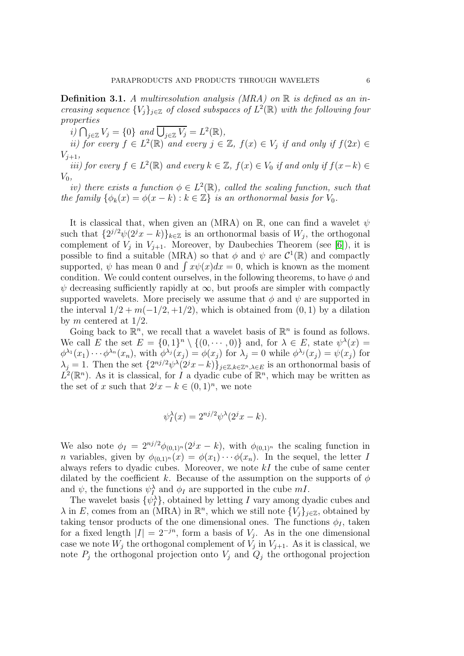**Definition 3.1.** A multiresolution analysis (MRA) on  $\mathbb{R}$  is defined as an increasing sequence  ${V_j}_{j\in\mathbb{Z}}$  of closed subspaces of  $L^2(\mathbb{R})$  with the following four properties

i)  $\bigcap_{j\in\mathbb{Z}}V_j=\{0\}$  and  $\overline{\bigcup_{j\in\mathbb{Z}}V_j}=L^2(\mathbb{R}),$ 

*ii)* for every  $f \in L^2(\mathbb{R})$  and every  $j \in \mathbb{Z}$ ,  $f(x) \in V_j$  if and only if  $f(2x) \in$  $V_{i+1}$ 

*iii*) for every  $f \in L^2(\mathbb{R})$  and every  $k \in \mathbb{Z}$ ,  $f(x) \in V_0$  if and only if  $f(x-k) \in$  $V_0$ ,

iv) there exists a function  $\phi \in L^2(\mathbb{R})$ , called the scaling function, such that the family  $\{\phi_k(x) = \phi(x - k) : k \in \mathbb{Z}\}\$ is an orthonormal basis for  $V_0$ .

It is classical that, when given an (MRA) on  $\mathbb{R}$ , one can find a wavelet  $\psi$ such that  $\{2^{j/2}\psi(2^j x - k)\}_{k \in \mathbb{Z}}$  is an orthonormal basis of  $W_j$ , the orthogonal complement of  $V_j$  in  $V_{j+1}$ . Moreover, by Daubechies Theorem (see [\[6\]](#page-15-10)), it is possible to find a suitable (MRA) so that  $\phi$  and  $\psi$  are  $\mathcal{C}^1(\mathbb{R})$  and compactly supported,  $\psi$  has mean 0 and  $\int x\psi(x)dx = 0$ , which is known as the moment condition. We could content ourselves, in the following theorems, to have  $\phi$  and  $\psi$  decreasing sufficiently rapidly at  $\infty$ , but proofs are simpler with compactly supported wavelets. More precisely we assume that  $\phi$  and  $\psi$  are supported in the interval  $1/2 + m(-1/2, +1/2)$ , which is obtained from  $(0, 1)$  by a dilation by m centered at  $1/2$ .

Going back to  $\mathbb{R}^n$ , we recall that a wavelet basis of  $\mathbb{R}^n$  is found as follows. We call E the set  $E = \{0,1\}^n \setminus \{(0,\dots,0)\}$  and, for  $\lambda \in E$ , state  $\psi^{\lambda}(x) =$  $\phi^{\lambda_1}(x_1)\cdots\phi^{\lambda_n}(x_n)$ , with  $\phi^{\lambda_j}(x_j) = \phi(x_j)$  for  $\lambda_j = 0$  while  $\phi^{\lambda_j}(x_j) = \psi(x_j)$  for  $\lambda_j = 1$ . Then the set  $\{2^{nj/2}\psi^\lambda(2^jx - k)\}_{j \in \mathbb{Z}, k \in \mathbb{Z}^n, \lambda \in E}$  is an orthonormal basis of  $L^2(\mathbb{R}^n)$ . As it is classical, for I a dyadic cube of  $\mathbb{R}^n$ , which may be written as the set of x such that  $2^j x - k \in (0,1)^n$ , we note

$$
\psi_I^{\lambda}(x) = 2^{nj/2} \psi^{\lambda}(2^j x - k).
$$

We also note  $\phi_I = 2^{nj/2} \phi_{(0,1)^n}(2^j x - k)$ , with  $\phi_{(0,1)^n}$  the scaling function in *n* variables, given by  $\phi_{(0,1)^n}(x) = \phi(x_1) \cdots \phi(x_n)$ . In the sequel, the letter I always refers to dyadic cubes. Moreover, we note  $kI$  the cube of same center dilated by the coefficient k. Because of the assumption on the supports of  $\phi$ and  $\psi$ , the functions  $\psi_I^{\lambda}$  and  $\phi_I$  are supported in the cube mI.

The wavelet basis  $\{\psi_I^{\lambda}\},$  obtained by letting I vary among dyadic cubes and  $\lambda$  in E, comes from an (MRA) in  $\mathbb{R}^n$ , which we still note  $\{V_j\}_{j\in\mathbb{Z}}$ , obtained by taking tensor products of the one dimensional ones. The functions  $\phi_I$ , taken for a fixed length  $|I| = 2^{-jn}$ , form a basis of  $V_j$ . As in the one dimensional case we note  $W_j$  the orthogonal complement of  $V_j$  in  $V_{j+1}$ . As it is classical, we note  $P_j$  the orthogonal projection onto  $V_j$  and  $Q_j$  the orthogonal projection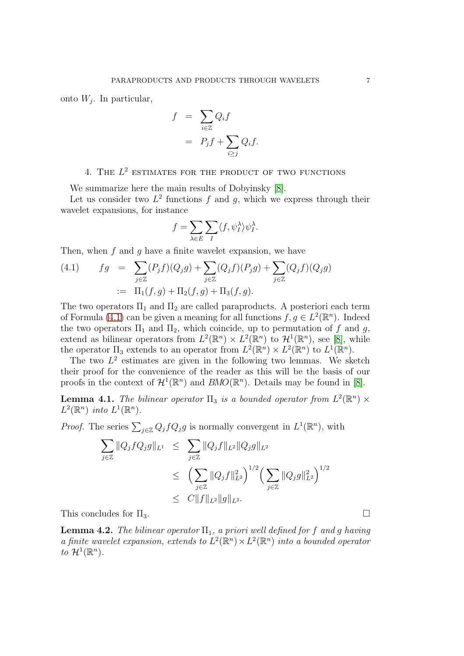onto  $W_j$ . In particular,

$$
f = \sum_{i \in \mathbb{Z}} Q_i f
$$
  
=  $P_j f + \sum_{i \ge j} Q_i f$ .

## 4. THE  $L^2$  estimates for the product of two functions

We summarize here the main results of Dobyinsky [\[8\]](#page-15-5).

Let us consider two  $L^2$  functions f and g, which we express through their wavelet expansions, for instance

$$
f = \sum_{\lambda \in E} \sum_{I} \langle f, \psi_I^{\lambda} \rangle \psi_I^{\lambda}.
$$

Then, when  $f$  and  $g$  have a finite wavelet expansion, we have

<span id="page-6-0"></span>(4.1) 
$$
fg = \sum_{j \in \mathbb{Z}} (P_j f)(Q_j g) + \sum_{j \in \mathbb{Z}} (Q_j f)(P_j g) + \sum_{j \in \mathbb{Z}} (Q_j f)(Q_j g)
$$

$$
:= \Pi_1(f, g) + \Pi_2(f, g) + \Pi_3(f, g).
$$

The two operators  $\Pi_1$  and  $\Pi_2$  are called paraproducts. A posteriori each term of Formula [\(4.1\)](#page-6-0) can be given a meaning for all functions  $f, g \in L^2(\mathbb{R}^n)$ . Indeed the two operators  $\Pi_1$  and  $\Pi_2$ , which coincide, up to permutation of f and g, extend as bilinear operators from  $L^2(\mathbb{R}^n) \times L^2(\mathbb{R}^n)$  to  $\mathcal{H}^1(\mathbb{R}^n)$ , see [\[8\]](#page-15-5), while the operator  $\Pi_3$  extends to an operator from  $L^2(\mathbb{R}^n) \times L^2(\mathbb{R}^n)$  to  $L^1(\mathbb{R}^n)$ .

The two  $L^2$  estimates are given in the following two lemmas. We sketch their proof for the convenience of the reader as this will be the basis of our proofs in the context of  $\mathcal{H}^1(\mathbb{R}^n)$  and  $BMO(\mathbb{R}^n)$ . Details may be found in [\[8\]](#page-15-5).

<span id="page-6-1"></span>**Lemma 4.1.** The bilinear operator  $\Pi_3$  is a bounded operator from  $L^2(\mathbb{R}^n) \times$  $L^2(\mathbb{R}^n)$  into  $L^1(\mathbb{R}^n)$ .

*Proof.* The series  $\sum_{j\in\mathbb{Z}}Q_jfQ_jg$  is normally convergent in  $L^1(\mathbb{R}^n)$ , with

$$
\sum_{j\in\mathbb{Z}} ||Q_j f Q_j g||_{L^1} \leq \sum_{j\in\mathbb{Z}} ||Q_j f||_{L^2} ||Q_j g||_{L^2}
$$
  

$$
\leq \left( \sum_{j\in\mathbb{Z}} ||Q_j f||_{L^2}^2 \right)^{1/2} \left( \sum_{j\in\mathbb{Z}} ||Q_j g||_{L^2}^2 \right)^{1/2}
$$
  

$$
\leq C ||f||_{L^2} ||g||_{L^2}.
$$

This concludes for  $\Pi_3$ .

<span id="page-6-2"></span>**Lemma 4.2.** The bilinear operator  $\Pi_1$ , a priori well defined for f and g having a finite wavelet expansion, extends to  $L^2(\mathbb{R}^n) \times L^2(\mathbb{R}^n)$  into a bounded operator to  $\mathcal{H}^1(\mathbb{R}^n)$ .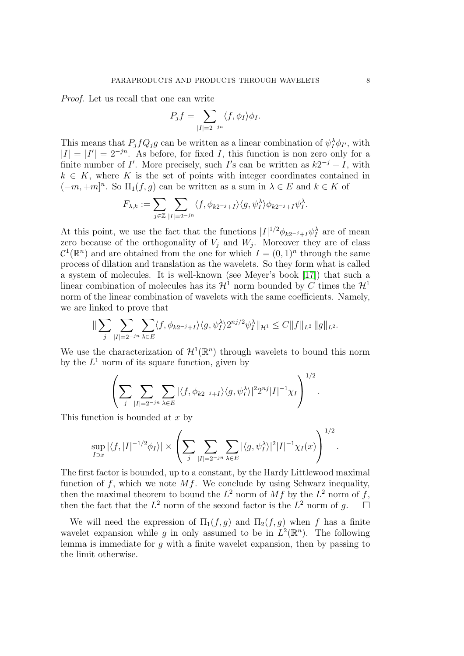Proof. Let us recall that one can write

$$
P_j f = \sum_{|I|=2^{-jn}} \langle f, \phi_I \rangle \phi_I.
$$

This means that  $P_j f Q_j g$  can be written as a linear combination of  $\psi_I^{\lambda} \phi_{I'}$ , with  $|I| = |I'| = 2^{-jn}$ . As before, for fixed I, this function is non zero only for a finite number of I'. More precisely, such I's can be written as  $k2^{-j} + I$ , with  $k \in K$ , where K is the set of points with integer coordinates contained in  $(-m, +m]^n$ . So  $\Pi_1(f, g)$  can be written as a sum in  $\lambda \in E$  and  $k \in K$  of

$$
F_{\lambda,k}:=\sum_{j\in\mathbb{Z}}\sum_{|I|=2^{-jn}}\langle f,\phi_{k2^{-j}+I}\rangle\langle g,\psi_I^{\lambda}\rangle\phi_{k2^{-j}+I}\psi_I^{\lambda}.
$$

At this point, we use the fact that the functions  $|I|^{1/2}\phi_{k2^{-j}+I}\psi_I^{\lambda}$  are of mean zero because of the orthogonality of  $V_j$  and  $W_j$ . Moreover they are of class  $\mathcal{C}^1(\mathbb{R}^n)$  and are obtained from the one for which  $I = (0, 1)^n$  through the same process of dilation and translation as the wavelets. So they form what is called a system of molecules. It is well-known (see Meyer's book [\[17\]](#page-16-3)) that such a linear combination of molecules has its  $\mathcal{H}^1$  norm bounded by C times the  $\mathcal{H}^1$ norm of the linear combination of wavelets with the same coefficients. Namely, we are linked to prove that

$$
\|\sum_{j}\sum_{|I|=2^{-jn}}\sum_{\lambda\in E}\langle f,\phi_{k2^{-j}+I}\rangle\langle g,\psi_I^{\lambda}\rangle 2^{nj/2}\psi_I^{\lambda}\|_{\mathcal{H}^1}\leq C\|f\|_{L^2}\|g\|_{L^2}.
$$

We use the characterization of  $\mathcal{H}^1(\mathbb{R}^n)$  through wavelets to bound this norm by the  $L^1$  norm of its square function, given by

$$
\left(\sum_{j}\sum_{|I|=2^{-jn}}\sum_{\lambda\in E}|\langle f,\phi_{k2^{-j}+I}\rangle\langle g,\psi_I^{\lambda}\rangle|^22^{nj}|I|^{-1}\chi_I\right)^{1/2}.
$$

This function is bounded at x by

$$
\sup_{I \ni x} |\langle f, |I|^{-1/2} \phi_I \rangle| \times \left( \sum_j \sum_{|I|=2^{-jn}} \sum_{\lambda \in E} |\langle g, \psi_I^{\lambda} \rangle|^2 |I|^{-1} \chi_I(x) \right)^{1/2}
$$

The first factor is bounded, up to a constant, by the Hardy Littlewood maximal function of f, which we note  $Mf$ . We conclude by using Schwarz inequality, then the maximal theorem to bound the  $L^2$  norm of  $Mf$  by the  $L^2$  norm of f, then the fact that the  $L^2$  norm of the second factor is the  $L^2$  norm of g.  $\Box$ 

We will need the expression of  $\Pi_1(f,g)$  and  $\Pi_2(f,g)$  when f has a finite wavelet expansion while g in only assumed to be in  $L^2(\mathbb{R}^n)$ . The following lemma is immediate for g with a finite wavelet expansion, then by passing to the limit otherwise.

.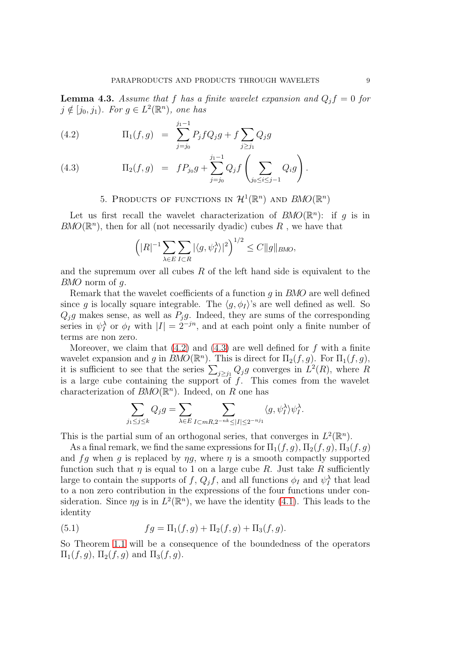**Lemma 4.3.** Assume that f has a finite wavelet expansion and  $Q_i f = 0$  for  $j \notin [j_0, j_1)$ . For  $g \in L^2(\mathbb{R}^n)$ , one has

<span id="page-8-0"></span>(4.2) 
$$
\Pi_1(f,g) = \sum_{j=j_0}^{j_1-1} P_j f Q_j g + f \sum_{j \ge j_1} Q_j g
$$

(4.3) 
$$
\Pi_2(f,g) = f P_{j_0} g + \sum_{j=j_0}^{j_1-1} Q_j f\left(\sum_{j_0 \le i \le j-1} Q_i g\right).
$$

## 5. PRODUCTS OF FUNCTIONS IN  $\mathcal{H}^1(\mathbb{R}^n)$  and  $BMO(\mathbb{R}^n)$

Let us first recall the wavelet characterization of  $BMO(\mathbb{R}^n)$ : if g is in  $BMO(\mathbb{R}^n)$ , then for all (not necessarily dyadic) cubes R, we have that

$$
\left( |R|^{-1} \sum_{\lambda \in E} \sum_{I \subset R} |\langle g, \psi_I^{\lambda} \rangle|^2 \right)^{1/2} \le C \|g\|_{BMO},
$$

and the supremum over all cubes  $R$  of the left hand side is equivalent to the BMO norm of g.

Remark that the wavelet coefficients of a function g in BMO are well defined since g is locally square integrable. The  $\langle g, \phi_I \rangle$ 's are well defined as well. So  $Q_jg$  makes sense, as well as  $P_jg$ . Indeed, they are sums of the corresponding series in  $\psi_I^{\lambda}$  or  $\phi_I$  with  $|I| = 2^{-jn}$ , and at each point only a finite number of terms are non zero.

Moreover, we claim that  $(4.2)$  and  $(4.3)$  are well defined for f with a finite wavelet expansion and g in  $BMO(\mathbb{R}^n)$ . This is direct for  $\Pi_2(f,g)$ . For  $\Pi_1(f,g)$ , it is sufficient to see that the series  $\sum_{j\geq j_1} Q_j g$  converges in  $L^2(R)$ , where R is a large cube containing the support of  $f$ . This comes from the wavelet characterization of  $BMO(\mathbb{R}^n)$ . Indeed, on R one has

$$
\sum_{j_1 \leq j \leq k} Q_j g = \sum_{\lambda \in E} \sum_{I \subset mR, 2^{-nk} \leq |I| \leq 2^{-nj_1}} \langle g, \psi_I^{\lambda} \rangle \psi_I^{\lambda}.
$$

This is the partial sum of an orthogonal series, that converges in  $L^2(\mathbb{R}^n)$ .

As a final remark, we find the same expressions for  $\Pi_1(f, g)$ ,  $\Pi_2(f, g)$ ,  $\Pi_3(f, g)$ and fg when g is replaced by  $\eta g$ , where  $\eta$  is a smooth compactly supported function such that  $\eta$  is equal to 1 on a large cube R. Just take R sufficiently large to contain the supports of  $f$ ,  $Q_j f$ , and all functions  $\phi_I$  and  $\psi_I^{\lambda}$  that lead to a non zero contribution in the expressions of the four functions under consideration. Since  $\eta g$  is in  $L^2(\mathbb{R}^n)$ , we have the identity [\(4.1\)](#page-6-0). This leads to the identity

(5.1) 
$$
fg = \Pi_1(f,g) + \Pi_2(f,g) + \Pi_3(f,g).
$$

So Theorem [1.1](#page-1-0) will be a consequence of the boundedness of the operators  $\Pi_1(f,g), \Pi_2(f,g)$  and  $\Pi_3(f,g)$ .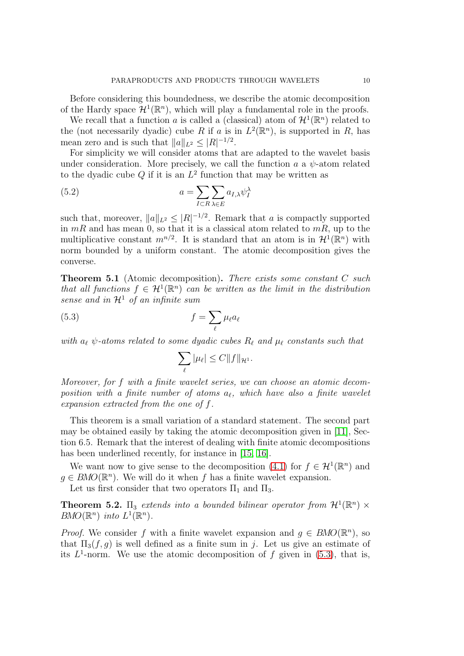Before considering this boundedness, we describe the atomic decomposition of the Hardy space  $\mathcal{H}^1(\mathbb{R}^n)$ , which will play a fundamental role in the proofs.

We recall that a function a is called a (classical) atom of  $\mathcal{H}^1(\mathbb{R}^n)$  related to the (not necessarily dyadic) cube R if a is in  $L^2(\mathbb{R}^n)$ , is supported in R, has mean zero and is such that  $||a||_{L^2} \leq |R|^{-1/2}$ .

For simplicity we will consider atoms that are adapted to the wavelet basis under consideration. More precisely, we call the function  $a$  a  $\psi$ -atom related to the dyadic cube  $Q$  if it is an  $L^2$  function that may be written as

(5.2) 
$$
a = \sum_{I \subset R} \sum_{\lambda \in E} a_{I,\lambda} \psi_I^{\lambda}
$$

such that, moreover,  $||a||_{L^2} \leq |R|^{-1/2}$ . Remark that a is compactly supported in  $mR$  and has mean 0, so that it is a classical atom related to  $mR$ , up to the multiplicative constant  $m^{n/2}$ . It is standard that an atom is in  $\mathcal{H}^1(\mathbb{R}^n)$  with norm bounded by a uniform constant. The atomic decomposition gives the converse.

Theorem 5.1 (Atomic decomposition). There exists some constant C such that all functions  $f \in H^1(\mathbb{R}^n)$  can be written as the limit in the distribution sense and in  $\mathcal{H}^1$  of an infinite sum

(5.3) 
$$
f = \sum_{\ell} \mu_{\ell} a_{\ell}
$$

with  $a_{\ell}$   $\psi$ -atoms related to some dyadic cubes  $R_{\ell}$  and  $\mu_{\ell}$  constants such that

<span id="page-9-0"></span>
$$
\sum_{\ell} |\mu_{\ell}| \leq C ||f||_{\mathcal{H}^1}.
$$

Moreover, for f with a finite wavelet series, we can choose an atomic decomposition with a finite number of atoms  $a_{\ell}$ , which have also a finite wavelet expansion extracted from the one of f.

This theorem is a small variation of a standard statement. The second part may be obtained easily by taking the atomic decomposition given in [\[11\]](#page-15-11), Section 6.5. Remark that the interest of dealing with finite atomic decompositions has been underlined recently, for instance in [\[15,](#page-15-12) [16\]](#page-15-13).

We want now to give sense to the decomposition [\(4.1\)](#page-6-0) for  $f \in H^1(\mathbb{R}^n)$  and  $g \in BMO(\mathbb{R}^n)$ . We will do it when f has a finite wavelet expansion.

Let us first consider that two operators  $\Pi_1$  and  $\Pi_3$ .

**Theorem 5.2.**  $\Pi_3$  extends into a bounded bilinear operator from  $\mathcal{H}^1(\mathbb{R}^n) \times$  $BMO(\mathbb{R}^n)$  into  $L^1(\mathbb{R}^n)$ .

*Proof.* We consider f with a finite wavelet expansion and  $g \in BMO(\mathbb{R}^n)$ , so that  $\Pi_3(f, q)$  is well defined as a finite sum in j. Let us give an estimate of its  $L^1$ -norm. We use the atomic decomposition of f given in [\(5.3\)](#page-9-0), that is,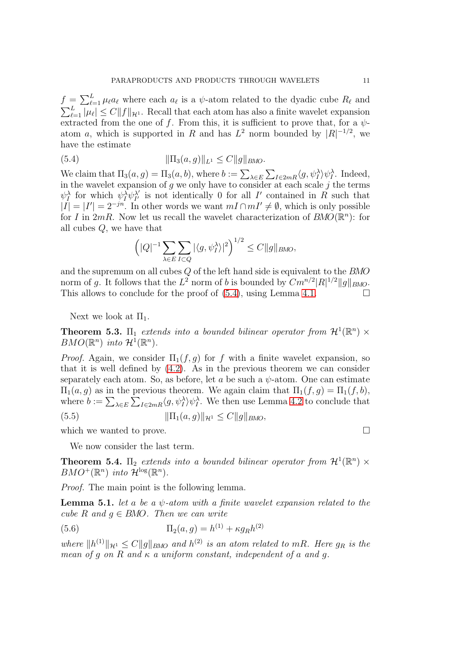$f = \sum_{\ell=1}^L \mu_\ell a_\ell$  where each  $a_\ell$  is a  $\psi$ -atom related to the dyadic cube  $R_\ell$  and  $\sum_{\ell=1}^L |\mu_\ell| \leq C \|f\|_{\mathcal{H}^1}$ . Recall that each atom has also a finite wavelet expansion extracted from the one of f. From this, it is sufficient to prove that, for a  $\psi$ atom a, which is supported in R and has  $L^2$  norm bounded by  $|R|^{-1/2}$ , we have the estimate

(5.4) 
$$
\|\Pi_3(a,g)\|_{L^1} \leq C \|g\|_{BMO}.
$$

We claim that  $\Pi_3(a,g) = \Pi_3(a,b)$ , where  $b := \sum_{\lambda \in E} \sum_{I \in 2mR} \langle g, \psi_I^{\lambda} \rangle \psi_I^{\lambda}$ . Indeed, in the wavelet expansion of  $g$  we only have to consider at each scale  $j$  the terms  $\psi_I^{\lambda}$  for which  $\psi_I^{\lambda} \psi_{I'}^{\lambda'}$  $I'_{I'}$  is not identically 0 for all I' contained in R such that  $|I| = |I'| = 2^{-jn}$ . In other words we want  $mI \cap mI' \neq \emptyset$ , which is only possible for I in  $2mR$ . Now let us recall the wavelet characterization of  $BMO(\mathbb{R}^n)$ : for all cubes Q, we have that

<span id="page-10-0"></span>
$$
\left( |Q|^{-1} \sum_{\lambda \in E} \sum_{I \subset Q} |\langle g, \psi_I^{\lambda} \rangle|^2 \right)^{1/2} \le C \|g\|_{BMO},
$$

and the supremum on all cubes Q of the left hand side is equivalent to the BMO norm of g. It follows that the  $L^2$  norm of b is bounded by  $Cm^{n/2} |R|^{1/2} ||g||_{BMO}$ . This allows to conclude for the proof of  $(5.4)$ , using Lemma [4.1.](#page-6-1)

Next we look at  $\Pi_1$ .

**Theorem 5.3.**  $\Pi_1$  extends into a bounded bilinear operator from  $\mathcal{H}^1(\mathbb{R}^n) \times$  $BMO(\mathbb{R}^n)$  into  $\mathcal{H}^1(\mathbb{R}^n)$ .

*Proof.* Again, we consider  $\Pi_1(f,g)$  for f with a finite wavelet expansion, so that it is well defined by [\(4.2\)](#page-8-0). As in the previous theorem we can consider separately each atom. So, as before, let a be such a  $\psi$ -atom. One can estimate  $\Pi_1(a, g)$  as in the previous theorem. We again claim that  $\Pi_1(f, g) = \Pi_1(f, b)$ , where  $b := \sum_{\lambda \in E} \sum_{I \in 2mR} \langle g, \psi_I^{\lambda} \rangle \psi_I^{\lambda}$ . We then use Lemma [4.2](#page-6-2) to conclude that (5.5)  $\|\Pi_1(a, q)\|_{\mathcal{H}^1} < C\|q\|_{BMO}$ 

which we wanted to prove.

We now consider the last term.

<span id="page-10-2"></span>**Theorem 5.4.**  $\Pi_2$  extends into a bounded bilinear operator from  $\mathcal{H}^1(\mathbb{R}^n) \times$  $BMO^+(\mathbb{R}^n)$  into  $\mathcal{H}^{\log}(\mathbb{R}^n)$ .

Proof. The main point is the following lemma.

<span id="page-10-1"></span>**Lemma 5.1.** let a be a  $\psi$ -atom with a finite wavelet expansion related to the cube R and  $q \in BMO$ . Then we can write

(5.6) 
$$
\Pi_2(a,g) = h^{(1)} + \kappa g_R h^{(2)}
$$

where  $||h^{(1)}||_{\mathcal{H}^1} \leq C||g||_{BMO}$  and  $h^{(2)}$  is an atom related to mR. Here  $g_R$  is the mean of q on R and  $\kappa$  a uniform constant, independent of a and q.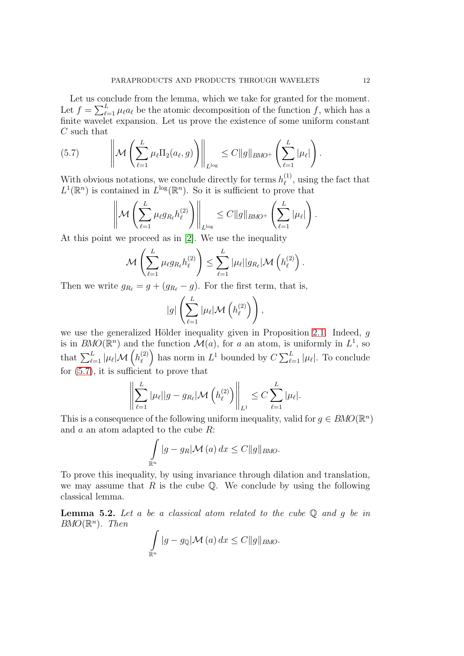Let us conclude from the lemma, which we take for granted for the moment. Let  $f = \sum_{\ell=1}^{L} \mu_{\ell} a_{\ell}$  be the atomic decomposition of the function f, which has a finite wavelet expansion. Let us prove the existence of some uniform constant C such that

<span id="page-11-0"></span>
$$
(5.7) \qquad \left\| \mathcal{M}\left(\sum_{\ell=1}^L \mu_\ell \Pi_2(a_\ell, g)\right) \right\|_{L^{\log}} \leq C \|g\|_{BMO^+}\left(\sum_{\ell=1}^L |\mu_\ell|\right).
$$

With obvious notations, we conclude directly for terms  $h_{\ell}^{(1)}$  $\ell^{(1)}$ , using the fact that  $L^1(\mathbb{R}^n)$  is contained in  $L^{\log}(\mathbb{R}^n)$ . So it is sufficient to prove that

$$
\left\|\mathcal{M}\left(\sum_{\ell=1}^L \mu_{\ell}g_{R_{\ell}}h_{\ell}^{(2)}\right)\right\|_{L^{\log}} \leq C\|g\|_{BMO^+}\left(\sum_{\ell=1}^L |\mu_{\ell}|\right).
$$

At this point we proceed as in [\[2\]](#page-15-0). We use the inequality

$$
\mathcal{M}\left(\sum_{\ell=1}^L\mu_\ell g_{R_\ell}h_\ell^{(2)}\right)\leq \sum_{\ell=1}^L|\mu_\ell||g_{R_\ell}|\mathcal{M}\left(h_\ell^{(2)}\right).
$$

Then we write  $g_{R_\ell} = g + (g_{R_\ell} - g)$ . For the first term, that is,

$$
|g|\left(\sum_{\ell=1}^L|\mu_\ell|\mathcal{M}\left(h_\ell^{(2)}\right)\right),\,
$$

we use the generalized Hölder inequality given in Proposition [2.1.](#page-3-1) Indeed,  $g$ is in  $BMO(\mathbb{R}^n)$  and the function  $\mathcal{M}(a)$ , for a an atom, is uniformly in  $L^1$ , so that  $\sum_{\ell=1}^L |\mu_{\ell}| \mathcal{M}\left( h_{\ell}^{(2)}\right)$  $\binom{2}{\ell}$  has norm in  $L^1$  bounded by  $C \sum_{\ell=1}^L |\mu_{\ell}|$ . To conclude for [\(5.7\)](#page-11-0), it is sufficient to prove that

$$
\left\| \sum_{\ell=1}^{L} |\mu_{\ell}| |g - g_{R_{\ell}}| \mathcal{M} \left( h_{\ell}^{(2)} \right) \right\|_{L^{1}} \leq C \sum_{\ell=1}^{L} |\mu_{\ell}|.
$$

This is a consequence of the following uniform inequality, valid for  $g \in BMO(\mathbb{R}^n)$ and  $a$  an atom adapted to the cube  $R$ :

$$
\int_{\mathbb{R}^n} |g - g_R| \mathcal{M}(a) dx \le C ||g||_{BMO}.
$$

To prove this inequality, by using invariance through dilation and translation, we may assume that R is the cube  $\mathbb Q$ . We conclude by using the following classical lemma.

**Lemma 5.2.** Let a be a classical atom related to the cube  $\mathbb{Q}$  and q be in  $BMO(\mathbb{R}^n)$ . Then

$$
\int_{\mathbb{R}^n} |g - g_{\mathbb{Q}}| \mathcal{M}(a) dx \le C ||g||_{BMO}.
$$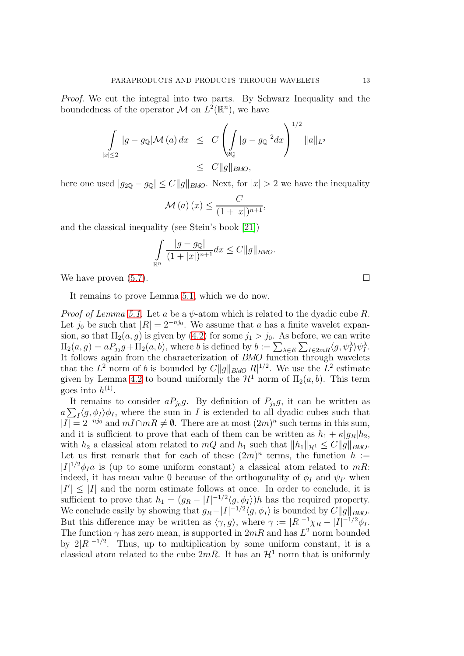Proof. We cut the integral into two parts. By Schwarz Inequality and the boundedness of the operator M on  $L^2(\mathbb{R}^n)$ , we have

$$
\int_{|x|\leq 2} |g - g_{\mathbb{Q}}| \mathcal{M}(a) dx \leq C \left( \int_{\mathbb{Q}\mathbb{Q}} |g - g_{\mathbb{Q}}|^2 dx \right)^{1/2} ||a||_{L^2}
$$
  

$$
\leq C ||g||_{BMO},
$$

here one used  $|g_{2\mathbb{Q}} - g_{\mathbb{Q}}| \leq C ||g||_{BMO}$ . Next, for  $|x| > 2$  we have the inequality

$$
\mathcal{M}(a)(x) \leq \frac{C}{(1+|x|)^{n+1}},
$$

and the classical inequality (see Stein's book [\[21\]](#page-16-2))

$$
\int_{\mathbb{R}^n} \frac{|g - g_{\mathbb{Q}}|}{(1 + |x|)^{n+1}} dx \le C ||g||_{BMO}.
$$

We have proven  $(5.7)$ .

It remains to prove Lemma [5.1,](#page-10-1) which we do now.

*Proof of Lemma [5.1.](#page-10-1)* Let a be a  $\psi$ -atom which is related to the dyadic cube R. Let  $j_0$  be such that  $|R| = 2^{-nj_0}$ . We assume that a has a finite wavelet expansion, so that  $\Pi_2(a, g)$  is given by  $(4.2)$  for some  $j_1 > j_0$ . As before, we can write  $\Pi_2(a,g) = aP_{j_0}g + \Pi_2(a,b)$ , where b is defined by  $b := \sum_{\lambda \in E} \sum_{I \in 2mR} \langle g, \psi_I^{\lambda} \rangle \psi_I^{\lambda}$ . It follows again from the characterization of  $BMO$  function through wavelets that the  $L^2$  norm of b is bounded by  $C||g||_{BMO}|R|^{1/2}$ . We use the  $L^2$  estimate given by Lemma [4.2](#page-6-2) to bound uniformly the  $\mathcal{H}^1$  norm of  $\Pi_2(a, b)$ . This term goes into  $h^{(1)}$ .

It remains to consider  $aP_{j_0}g$ . By definition of  $P_{j_0}g$ , it can be written as  $a\sum_{I}\langle g,\phi_{I}\rangle\phi_{I}$ , where the sum in I is extended to all dyadic cubes such that  $|I| = 2^{-nj_0}$  and  $mI \cap mR \neq \emptyset$ . There are at most  $(2m)^n$  such terms in this sum, and it is sufficient to prove that each of them can be written as  $h_1 + \kappa |g_R|h_2$ , with  $h_2$  a classical atom related to mQ and  $h_1$  such that  $||h_1||_{\mathcal{H}^1} \leq C||g||_{BMO}$ . Let us first remark that for each of these  $(2m)^n$  terms, the function  $h :=$  $|I|^{1/2}\phi_{I}a$  is (up to some uniform constant) a classical atom related to mR: indeed, it has mean value 0 because of the orthogonality of  $\phi_I$  and  $\psi_{I'}$  when  $|I'| \leq |I|$  and the norm estimate follows at once. In order to conclude, it is sufficient to prove that  $h_1 = (g_R - |I|^{-1/2} \langle g, \phi_I \rangle)h$  has the required property. We conclude easily by showing that  $g_R - |I|^{-1/2} \langle g, \phi_I \rangle$  is bounded by  $C||g||_{BMO}$ . But this difference may be written as  $\langle \gamma, g \rangle$ , where  $\gamma := |R|^{-1} \chi_R - |I|^{-1/2} \phi_I$ . The function  $\gamma$  has zero mean, is supported in  $2mR$  and has  $L^2$  norm bounded by  $2|R|^{-1/2}$ . Thus, up to multiplication by some uniform constant, it is a classical atom related to the cube  $2mR$ . It has an  $\mathcal{H}^1$  norm that is uniformly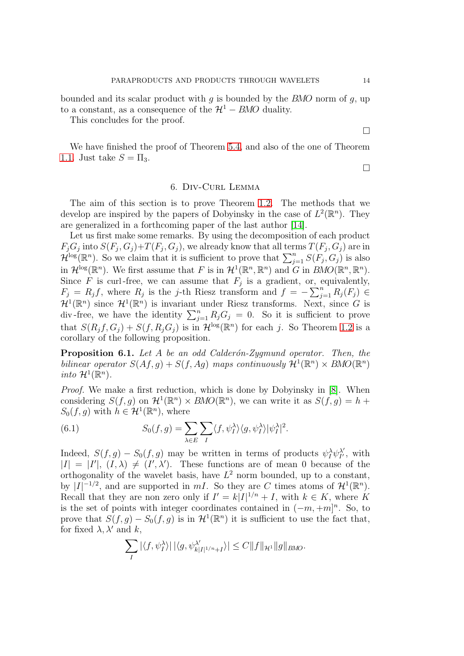bounded and its scalar product with  $q$  is bounded by the BMO norm of  $q$ , up to a constant, as a consequence of the  $\mathcal{H}^1 - BMO$  duality.

This concludes for the proof.

We have finished the proof of Theorem [5.4,](#page-10-2) and also of the one of Theorem [1.1.](#page-1-0) Just take  $S = \Pi_3$ .

### 6. Div-Curl Lemma

The aim of this section is to prove Theorem [1.2.](#page-2-0) The methods that we develop are inspired by the papers of Dobyinsky in the case of  $L^2(\mathbb{R}^n)$ . They are generalized in a forthcoming paper of the last author [\[14\]](#page-15-14).

Let us first make some remarks. By using the decomposition of each product  $F_jG_j$  into  $S(F_j,G_j)+T(F_j,G_j)$ , we already know that all terms  $T(F_j,G_j)$  are in  $\mathcal{H}^{\log}(\mathbb{R}^n)$ . So we claim that it is sufficient to prove that  $\sum_{j=1}^n S(F_j, G_j)$  is also in  $\mathcal{H}^{\log}(\mathbb{R}^n)$ . We first assume that F is in  $\mathcal{H}^1(\mathbb{R}^n, \mathbb{R}^n)$  and G in  $BMO(\mathbb{R}^n, \mathbb{R}^n)$ . Since F is curl-free, we can assume that  $F_j$  is a gradient, or, equivalently,  $F_j = R_j f$ , where  $R_j$  is the j-th Riesz transform and  $f = -\sum_{j=1}^n R_j(F_j) \in$  $\mathcal{H}^1(\mathbb{R}^n)$  since  $\mathcal{H}^1(\mathbb{R}^n)$  is invariant under Riesz transforms. Next, since G is div-free, we have the identity  $\sum_{j=1}^{n} R_j G_j = 0$ . So it is sufficient to prove that  $S(R_j f, G_j) + S(f, R_j G_j)$  is in  $\mathcal{H}^{\log}(\mathbb{R}^n)$  for each j. So Theorem [1.2](#page-2-0) is a corollary of the following proposition.

**Proposition 6.1.** Let A be an odd Calderón-Zygmund operator. Then, the bilinear operator  $S(Af, g) + S(f, Ag)$  maps continuously  $\mathcal{H}^1(\mathbb{R}^n) \times BMO(\mathbb{R}^n)$ into  $\mathcal{H}^1(\mathbb{R}^n)$ .

Proof. We make a first reduction, which is done by Dobyinsky in [\[8\]](#page-15-5). When considering  $S(f, g)$  on  $\mathcal{H}^1(\mathbb{R}^n) \times BMO(\mathbb{R}^n)$ , we can write it as  $S(f, g) = h +$  $S_0(f, g)$  with  $h \in \mathcal{H}^1(\mathbb{R}^n)$ , where

(6.1) 
$$
S_0(f,g) = \sum_{\lambda \in E} \sum_I \langle f, \psi_I^{\lambda} \rangle \langle g, \psi_I^{\lambda} \rangle |\psi_I^{\lambda}|^2.
$$

Indeed,  $S(f,g) - S_0(f,g)$  may be written in terms of products  $\psi_I^{\lambda} \psi_{I'}^{\lambda'}$  $I'_I$ , with  $|I| = |I'|$ ,  $(I, \lambda) \neq (I', \lambda')$ . These functions are of mean 0 because of the orthogonality of the wavelet basis, have  $L^2$  norm bounded, up to a constant, by  $|I|^{-1/2}$ , and are supported in mI. So they are C times atoms of  $\mathcal{H}^1(\mathbb{R}^n)$ . Recall that they are non zero only if  $I' = k|I|^{1/n} + I$ , with  $k \in K$ , where K is the set of points with integer coordinates contained in  $(-m, +m]^n$ . So, to prove that  $S(f,g) - S_0(f,g)$  is in  $\mathcal{H}^1(\mathbb{R}^n)$  it is sufficient to use the fact that, for fixed  $\lambda$ ,  $\lambda'$  and k,

$$
\sum_{I} |\langle f, \psi_I^{\lambda} \rangle| \, |\langle g, \psi_{k|I|^{1/n}+I}^{\lambda'} \rangle| \leq C \|f\|_{\mathcal{H}^1} \|g\|_{BMO}.
$$

 $\Box$ 

 $\Box$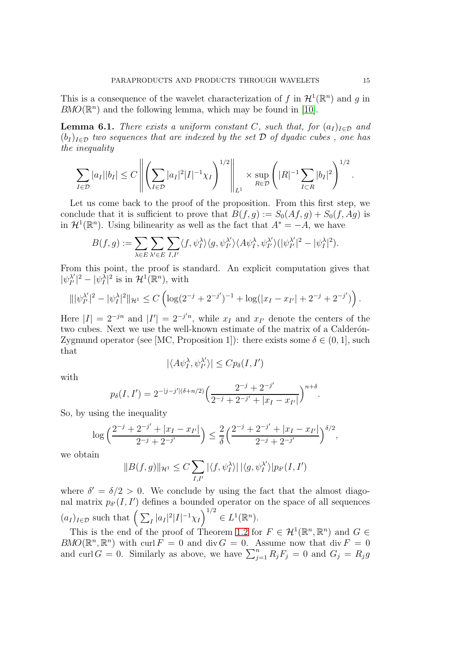This is a consequence of the wavelet characterization of f in  $\mathcal{H}^1(\mathbb{R}^n)$  and g in  $BMO(\mathbb{R}^n)$  and the following lemma, which may be found in [\[10\]](#page-15-15).

**Lemma 6.1.** There exists a uniform constant C, such that, for  $(a_I)_{I \in \mathcal{D}}$  and  $(b_I)_{I \in \mathcal{D}}$  two sequences that are indexed by the set  $\mathcal D$  of dyadic cubes, one has the inequality

$$
\sum_{I \in \mathcal{D}} |a_I||b_I| \le C \left\| \left( \sum_{I \in \mathcal{D}} |a_I|^2 |I|^{-1} \chi_I \right)^{1/2} \right\|_{L^1} \times \sup_{R \in \mathcal{D}} \left( |R|^{-1} \sum_{I \subset R} |b_I|^2 \right)^{1/2}.
$$

Let us come back to the proof of the proposition. From this first step, we conclude that it is sufficient to prove that  $B(f, g) := S_0(Af, g) + S_0(f, Ag)$  is in  $\mathcal{H}^1(\mathbb{R}^n)$ . Using bilinearity as well as the fact that  $A^* = -A$ , we have

$$
B(f,g) := \sum_{\lambda \in E} \sum_{\lambda' \in E} \sum_{I,I'} \langle f, \psi_I^{\lambda} \rangle \langle g, \psi_{I'}^{\lambda'} \rangle \langle A \psi_I^{\lambda}, \psi_{I'}^{\lambda'} \rangle (|\psi_{I'}^{\lambda'}|^2 - |\psi_I^{\lambda}|^2).
$$

From this point, the proof is standard. An explicit computation gives that  $|\psi_{I'}^{\lambda'}\rangle$  $\mathcal{H}^{1/2}_{I'}$  =  $|\psi^{\lambda}_{I}|^{2}$  is in  $\mathcal{H}^{1}(\mathbb{R}^{n})$ , with

$$
\| |\psi_{I'}^{\lambda'}|^2 - |\psi_I^{\lambda}|^2 \|_{\mathcal{H}^1} \leq C \left( \log(2^{-j} + 2^{-j'})^{-1} + \log(|x_I - x_{I'}| + 2^{-j} + 2^{-j'}) \right).
$$

Here  $|I| = 2^{-jn}$  and  $|I'| = 2^{-j'n}$ , while  $x_I$  and  $x_{I'}$  denote the centers of the two cubes. Next we use the well-known estimate of the matrix of a Calderón-Zygmund operator (see [MC, Proposition 1]): there exists some  $\delta \in (0, 1]$ , such that

$$
|\langle A\psi_I^{\lambda}, \psi_{I'}^{\lambda'}\rangle| \leq C p_{\delta}(I, I')
$$

with

$$
p_{\delta}(I, I') = 2^{-|j - j'|(\delta + n/2)} \left( \frac{2^{-j} + 2^{-j'}}{2^{-j} + 2^{-j'} + |x_I - x_{I'}|} \right)^{n + \delta}.
$$

So, by using the inequality

$$
\log\Big(\frac{2^{-j}+2^{-j'}+|x_I-x_{I'}|}{2^{-j}+2^{-j'}}\Big)\leq\frac{2}{\delta}\Big(\frac{2^{-j}+2^{-j'}+|x_I-x_{I'}|}{2^{-j}+2^{-j'}}\Big)^{\delta/2},
$$

we obtain

$$
\|B(f,g)\|_{\mathcal{H}^1}\leq C\sum_{I,I'}|\langle f,\psi_I^\lambda\rangle|\,|\langle g,\psi_I^{\lambda'}\rangle|p_{\delta'}(I,I')
$$

where  $\delta' = \delta/2 > 0$ . We conclude by using the fact that the almost diagonal matrix  $p_{\delta'}(I, I')$  defines a bounded operator on the space of all sequences  $(a_I)_{I \in \mathcal{D}}$  such that  $\left( \sum_I |a_I|^2 |I|^{-1} \chi_I \right)^{1/2} \in L^1(\mathbb{R}^n)$ .

This is the end of the proof of Theorem [1.2](#page-2-0) for  $F \in \mathcal{H}^1(\mathbb{R}^n, \mathbb{R}^n)$  and  $G \in$  $BMO(\mathbb{R}^n, \mathbb{R}^n)$  with curl  $F = 0$  and div  $G = 0$ . Assume now that div  $F = 0$ and curl  $G = 0$ . Similarly as above, we have  $\sum_{j=1}^{n} R_j F_j = 0$  and  $G_j = R_j g$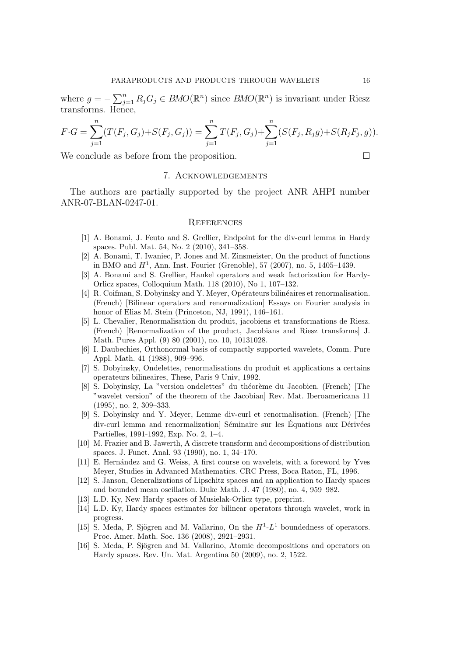where  $g = -\sum_{j=1}^{n} R_j G_j \in BMO(\mathbb{R}^n)$  since  $BMO(\mathbb{R}^n)$  is invariant under Riesz transforms. Hence,

$$
F \cdot G = \sum_{j=1}^{n} (T(F_j, G_j) + S(F_j, G_j)) = \sum_{j=1}^{n} T(F_j, G_j) + \sum_{j=1}^{n} (S(F_j, R_j g) + S(R_j F_j, g)).
$$

We conclude as before from the proposition.

### 7. Acknowledgements

The authors are partially supported by the project ANR AHPI number ANR-07-BLAN-0247-01.

#### **REFERENCES**

- <span id="page-15-8"></span>[1] A. Bonami, J. Feuto and S. Grellier, Endpoint for the div-curl lemma in Hardy spaces. Publ. Mat. 54, No. 2 (2010), 341–358.
- <span id="page-15-0"></span>[2] A. Bonami, T. Iwaniec, P. Jones and M. Zinsmeister, On the product of functions in BMO and  $H^1$ , Ann. Inst. Fourier (Grenoble), 57 (2007), no. 5, 1405–1439.
- <span id="page-15-9"></span>[3] A. Bonami and S. Grellier, Hankel operators and weak factorization for Hardy-Orlicz spaces, Colloquium Math. 118 (2010), No 1, 107–132.
- <span id="page-15-6"></span>[4] R. Coifman, S. Dobyinsky and Y. Meyer, Opérateurs bilinéaires et renormalisation. (French) [Bilinear operators and renormalization] Essays on Fourier analysis in honor of Elias M. Stein (Princeton, NJ, 1991), 146–161.
- <span id="page-15-7"></span>[5] L. Chevalier, Renormalisation du produit, jacobiens et transformations de Riesz. (French) [Renormalization of the product, Jacobians and Riesz transforms] J. Math. Pures Appl. (9) 80 (2001), no. 10, 10131028.
- <span id="page-15-10"></span>[6] I. Daubechies, Orthonormal basis of compactly supported wavelets, Comm. Pure Appl. Math. 41 (1988), 909–996.
- <span id="page-15-4"></span>[7] S. Dobyinsky, Ondelettes, renormalisations du produit et applications a certains operateurs bilineaires, These, Paris 9 Univ, 1992.
- <span id="page-15-5"></span>[8] S. Dobyinsky, La "version ondelettes" du théorème du Jacobien. (French) [The "wavelet version" of the theorem of the Jacobian] Rev. Mat. Iberoamericana 11 (1995), no. 2, 309–333.
- <span id="page-15-3"></span>[9] S. Dobyinsky and Y. Meyer, Lemme div-curl et renormalisation. (French) [The div-curl lemma and renormalization] Séminaire sur les Équations aux Dérivées Partielles, 1991-1992, Exp. No. 2, 1–4.
- <span id="page-15-15"></span>[10] M. Frazier and B. Jawerth, A discrete transform and decompositions of distribution spaces. J. Funct. Anal. 93 (1990), no. 1, 34–170.
- <span id="page-15-11"></span>[11] E. Hernández and G. Weiss, A first course on wavelets, with a foreword by Yves Meyer, Studies in Advanced Mathematics. CRC Press, Boca Raton, FL, 1996.
- <span id="page-15-2"></span>[12] S. Janson, Generalizations of Lipschitz spaces and an application to Hardy spaces and bounded mean oscillation. Duke Math. J. 47 (1980), no. 4, 959–982.
- <span id="page-15-14"></span><span id="page-15-1"></span>[13] L.D. Ky, New Hardy spaces of Musielak-Orlicz type, preprint.
- [14] L.D. Ky, Hardy spaces estimates for bilinear operators through wavelet, work in progress.
- <span id="page-15-12"></span>[15] S. Meda, P. Sjögren and M. Vallarino, On the  $H^1-L^1$  boundedness of operators. Proc. Amer. Math. Soc. 136 (2008), 2921–2931.
- <span id="page-15-13"></span>[16] S. Meda, P. Sjögren and M. Vallarino, Atomic decompositions and operators on Hardy spaces. Rev. Un. Mat. Argentina 50 (2009), no. 2, 1522.